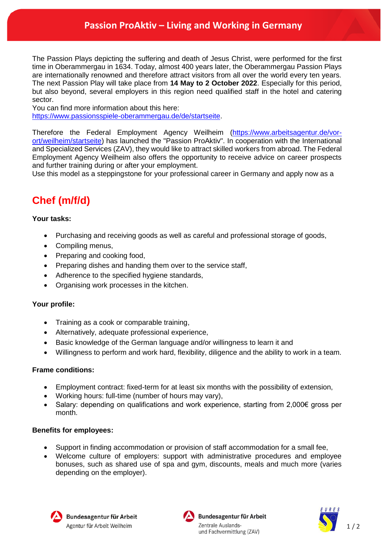## **Passion ProAktiv – Living and Working in Germany**

The Passion Plays depicting the suffering and death of Jesus Christ, were performed for the first time in Oberammergau in 1634. Today, almost 400 years later, the Oberammergau Passion Plays are internationally renowned and therefore attract visitors from all over the world every ten years. The next Passion Play will take place from **14 May to 2 October 2022**. Especially for this period, but also beyond, several employers in this region need qualified staff in the hotel and catering sector.

You can find more information about this here:

[https://www.passionsspiele-oberammergau.de/de/startseite.](https://www.passionsspiele-oberammergau.de/de/startseite)

Therefore the Federal Employment Agency Weilheim [\(https://www.arbeitsagentur.de/vor](https://www.arbeitsagentur.de/vor-ort/weilheim/startseite)[ort/weilheim/startseite\)](https://www.arbeitsagentur.de/vor-ort/weilheim/startseite) has launched the "Passion ProAktiv". In cooperation with the International and Specialized Services (ZAV), they would like to attract skilled workers from abroad. The Federal Employment Agency Weilheim also offers the opportunity to receive advice on career prospects and further training during or after your employment.

Use this model as a steppingstone for your professional career in Germany and apply now as a

# **Chef (m/f/d)**

### **Your tasks:**

- Purchasing and receiving goods as well as careful and professional storage of goods,
- Compiling menus,
- Preparing and cooking food,
- Preparing dishes and handing them over to the service staff,
- Adherence to the specified hygiene standards,
- Organising work processes in the kitchen.

#### **Your profile:**

- Training as a cook or comparable training,
- Alternatively, adequate professional experience,
- Basic knowledge of the German language and/or willingness to learn it and
- Willingness to perform and work hard, flexibility, diligence and the ability to work in a team.

#### **Frame conditions:**

- Employment contract: fixed-term for at least six months with the possibility of extension,
- Working hours: full-time (number of hours may vary),
- Salary: depending on qualifications and work experience, starting from 2,000€ gross per month.

#### **Benefits for employees:**

- Support in finding accommodation or provision of staff accommodation for a small fee,
- Welcome culture of employers: support with administrative procedures and employee bonuses, such as shared use of spa and gym, discounts, meals and much more (varies depending on the employer).





Bundesagentur für Arbeit Zentrale Auslandsund Fachvermittlung (ZAV)